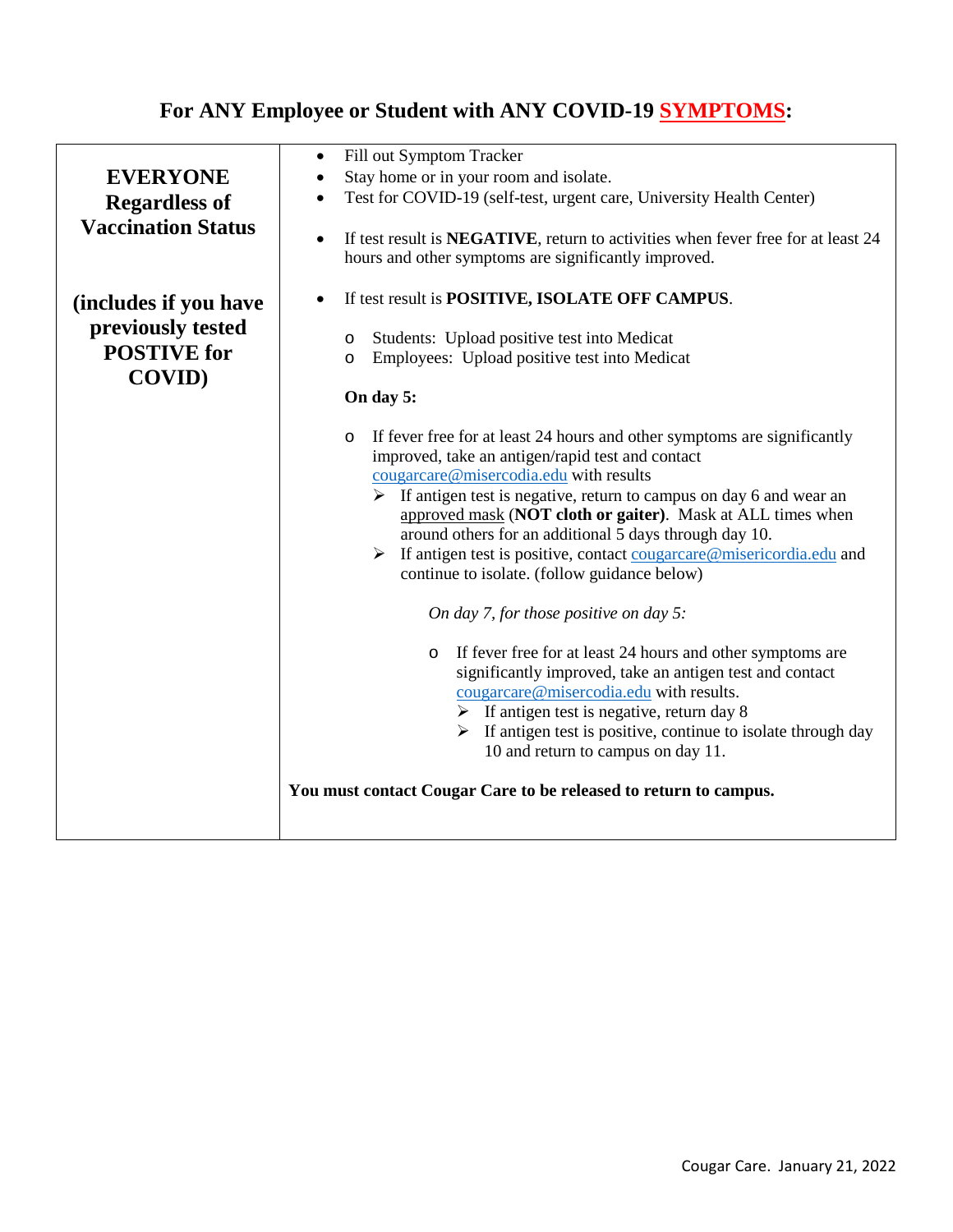## **For ANY Employee or Student with ANY COVID-19 SYMPTOMS:**

|                           | Fill out Symptom Tracker<br>$\bullet$                                                                                                                                                                                                                                                                                                                                                                                                                                                                                                                                                                                                                                                                                                                                                                                                                                                                                                                                                                         |  |
|---------------------------|---------------------------------------------------------------------------------------------------------------------------------------------------------------------------------------------------------------------------------------------------------------------------------------------------------------------------------------------------------------------------------------------------------------------------------------------------------------------------------------------------------------------------------------------------------------------------------------------------------------------------------------------------------------------------------------------------------------------------------------------------------------------------------------------------------------------------------------------------------------------------------------------------------------------------------------------------------------------------------------------------------------|--|
| <b>EVERYONE</b>           | Stay home or in your room and isolate.                                                                                                                                                                                                                                                                                                                                                                                                                                                                                                                                                                                                                                                                                                                                                                                                                                                                                                                                                                        |  |
| <b>Regardless of</b>      | Test for COVID-19 (self-test, urgent care, University Health Center)                                                                                                                                                                                                                                                                                                                                                                                                                                                                                                                                                                                                                                                                                                                                                                                                                                                                                                                                          |  |
| <b>Vaccination Status</b> | If test result is NEGATIVE, return to activities when fever free for at least 24<br>hours and other symptoms are significantly improved.                                                                                                                                                                                                                                                                                                                                                                                                                                                                                                                                                                                                                                                                                                                                                                                                                                                                      |  |
| (includes if you have     | If test result is POSITIVE, ISOLATE OFF CAMPUS.                                                                                                                                                                                                                                                                                                                                                                                                                                                                                                                                                                                                                                                                                                                                                                                                                                                                                                                                                               |  |
| previously tested         |                                                                                                                                                                                                                                                                                                                                                                                                                                                                                                                                                                                                                                                                                                                                                                                                                                                                                                                                                                                                               |  |
| <b>POSTIVE</b> for        | Students: Upload positive test into Medicat<br>$\circ$                                                                                                                                                                                                                                                                                                                                                                                                                                                                                                                                                                                                                                                                                                                                                                                                                                                                                                                                                        |  |
|                           | Employees: Upload positive test into Medicat<br>$\circ$                                                                                                                                                                                                                                                                                                                                                                                                                                                                                                                                                                                                                                                                                                                                                                                                                                                                                                                                                       |  |
| <b>COVID)</b>             | On day 5:                                                                                                                                                                                                                                                                                                                                                                                                                                                                                                                                                                                                                                                                                                                                                                                                                                                                                                                                                                                                     |  |
|                           | If fever free for at least 24 hours and other symptoms are significantly<br>$\circ$<br>improved, take an antigen/rapid test and contact<br>cougarcare@misercodia.edu with results<br>$\triangleright$ If antigen test is negative, return to campus on day 6 and wear an<br>approved mask (NOT cloth or gaiter). Mask at ALL times when<br>around others for an additional 5 days through day 10.<br>$\triangleright$ If antigen test is positive, contact cougarcare @misericordia.edu and<br>continue to isolate. (follow guidance below)<br>On day 7, for those positive on day 5:<br>If fever free for at least 24 hours and other symptoms are<br>$\circ$<br>significantly improved, take an antigen test and contact<br>cougarcare@misercodia.edu with results.<br>$\triangleright$ If antigen test is negative, return day 8<br>If antigen test is positive, continue to isolate through day<br>10 and return to campus on day 11.<br>You must contact Cougar Care to be released to return to campus. |  |